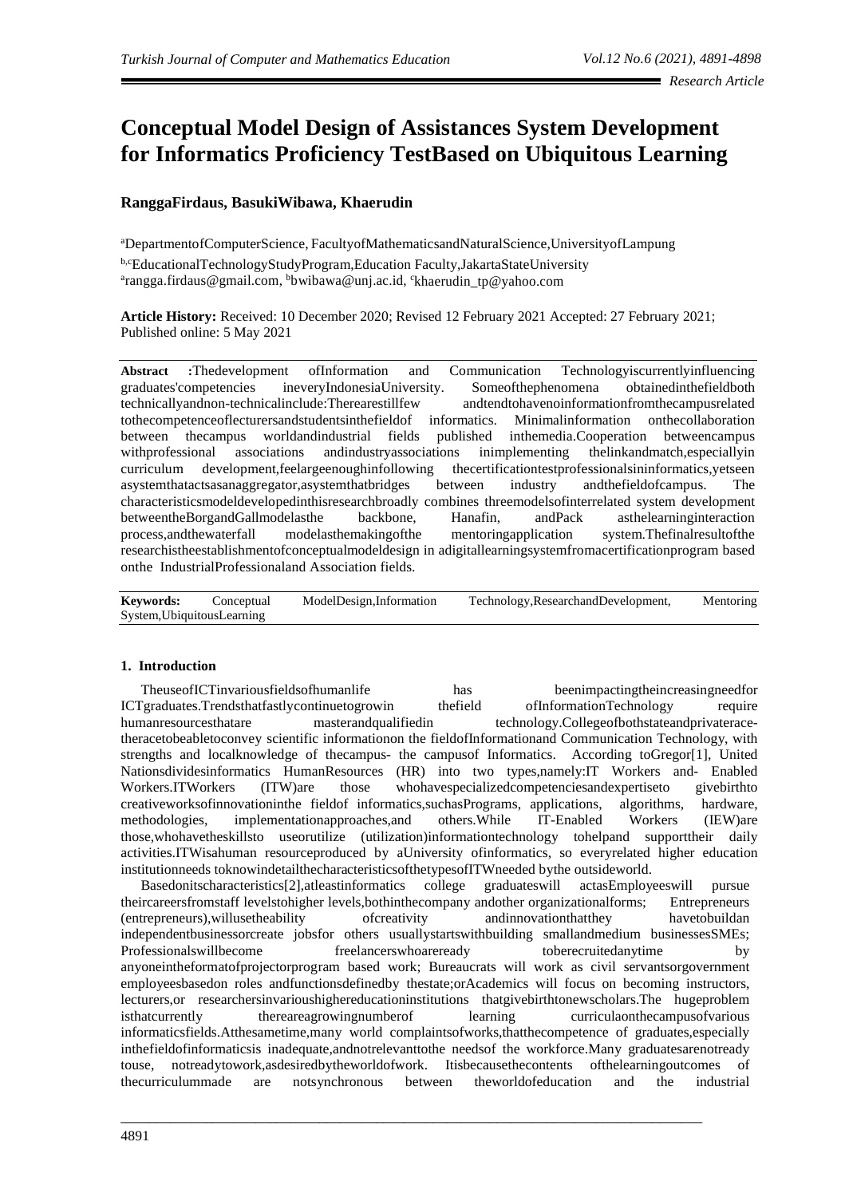# **Conceptual Model Design of Assistances System Development for Informatics Proficiency TestBased on Ubiquitous Learning**

# **RanggaFirdaus, BasukiWibawa, Khaerudin**

<sup>a</sup>DepartmentofComputerScience, FacultyofMathematicsandNaturalScience,UniversityofLampung

b,cEducationalTechnologyStudyProgram,Education Faculty,JakartaStateUniversity <sup>a</sup>rang[ga.firdaus@gmail.com,](mailto:firdaus@gmail.com) <sup>b</sup>[bwibawa@unj.ac.id,](mailto:bwibawa@unj.ac.id) <sup>c</sup>[khaerudin\\_tp@yahoo.com](mailto:khaerudin_tp@yahoo.com)

**Article History:** Received: 10 December 2020; Revised 12 February 2021 Accepted: 27 February 2021; Published online: 5 May 2021

**Abstract :**Thedevelopment ofInformation and Communication Technologyiscurrentlyinfluencing graduates'competencies ineveryIndonesiaUniversity. Someofthephenomena obtainedinthefieldboth technicallyandnon-technicalinclude:Therearestillfew andtendtohavenoinformationfromthecampusrelated tothecompetenceoflecturersandstudentsinthefieldof informatics. Minimalinformation onthecollaboration between thecampus worldandindustrial fields published inthemedia.Cooperation betweencampus withprofessional associations andindustryassociations inimplementing thelinkandmatch,especiallyin curriculum development,feelargeenoughinfollowing thecertificationtestprofessionalsininformatics,yetseen asystemthatactsasanaggregator,asystemthatbridges between industry andthefieldofcampus. The characteristicsmodeldevelopedinthisresearchbroadly combines threemodelsofinterrelated system development betweentheBorgandGallmodelasthe backbone, Hanafin, andPack asthelearninginteraction process,andthewaterfall modelasthemakingofthe mentoringapplication system.Thefinalresultofthe researchistheestablishmentofconceptualmodeldesign in adigitallearningsystemfromacertificationprogram based onthe IndustrialProfessionaland Association fields.

**Keywords:** Conceptual ModelDesign,Information Technology,ResearchandDevelopment, Mentoring System,UbiquitousLearning

### **1. Introduction**

TheuseofICTinvariousfieldsofhumanlife has beenimpactingtheincreasingneedfor ICTgraduates.Trendsthatfastlycontinuetogrowin thefield ofInformationTechnology require humanresourcesthatare masterandqualifiedin technology.Collegeofbothstateandprivateracetheracetobeabletoconvey scientific informationon the fieldofInformationand Communication Technology, with strengths and localknowledge of thecampus- the campusof Informatics. According toGregor[1], United Nationsdividesinformatics HumanResources (HR) into two types,namely:IT Workers and- Enabled Workers.ITWorkers (ITW)are those whohavespecializedcompetenciesandexpertiseto givebirthto creativeworksofinnovationinthe fieldof informatics,suchasPrograms, applications, algorithms, hardware, methodologies, implementationapproaches,and others.While IT-Enabled Workers (IEW)are those,whohavetheskillsto useorutilize (utilization)informationtechnology tohelpand supporttheir daily activities.ITWisahuman resourceproduced by aUniversity ofinformatics, so everyrelated higher education institutionneeds toknowindetailthecharacteristicsofthetypesofITWneeded bythe outsideworld.

Basedonitscharacteristics[2],atleastinformatics college graduateswill actasEmployeeswill pursue theircareersfromstaff levelstohigher levels,bothinthecompany andother organizationalforms; Entrepreneurs (entrepreneurs),willusetheability ofcreativity andinnovationthatthey havetobuildan independentbusinessorcreate jobsfor others usuallystartswithbuilding smallandmedium businessesSMEs; Professionalswillbecome freelancerswhoareready toberecruitedanytime by anyoneintheformatofprojectorprogram based work; Bureaucrats will work as civil servantsorgovernment employeesbasedon roles andfunctionsdefinedby thestate;orAcademics will focus on becoming instructors, lecturers,or researchersinvarioushighereducationinstitutions thatgivebirthtonewscholars.The hugeproblem isthatcurrently thereareagrowingnumberof learning curriculaonthecampusofvarious informaticsfields.Atthesametime,many world complaintsofworks,thatthecompetence of graduates,especially inthefieldofinformaticsis inadequate,andnotrelevanttothe needsof the workforce.Many graduatesarenotready touse, notreadytowork,asdesiredbytheworldofwork. Itisbecausethecontents ofthelearningoutcomes of thecurriculummade are notsynchronous between theworldofeducation and the industrial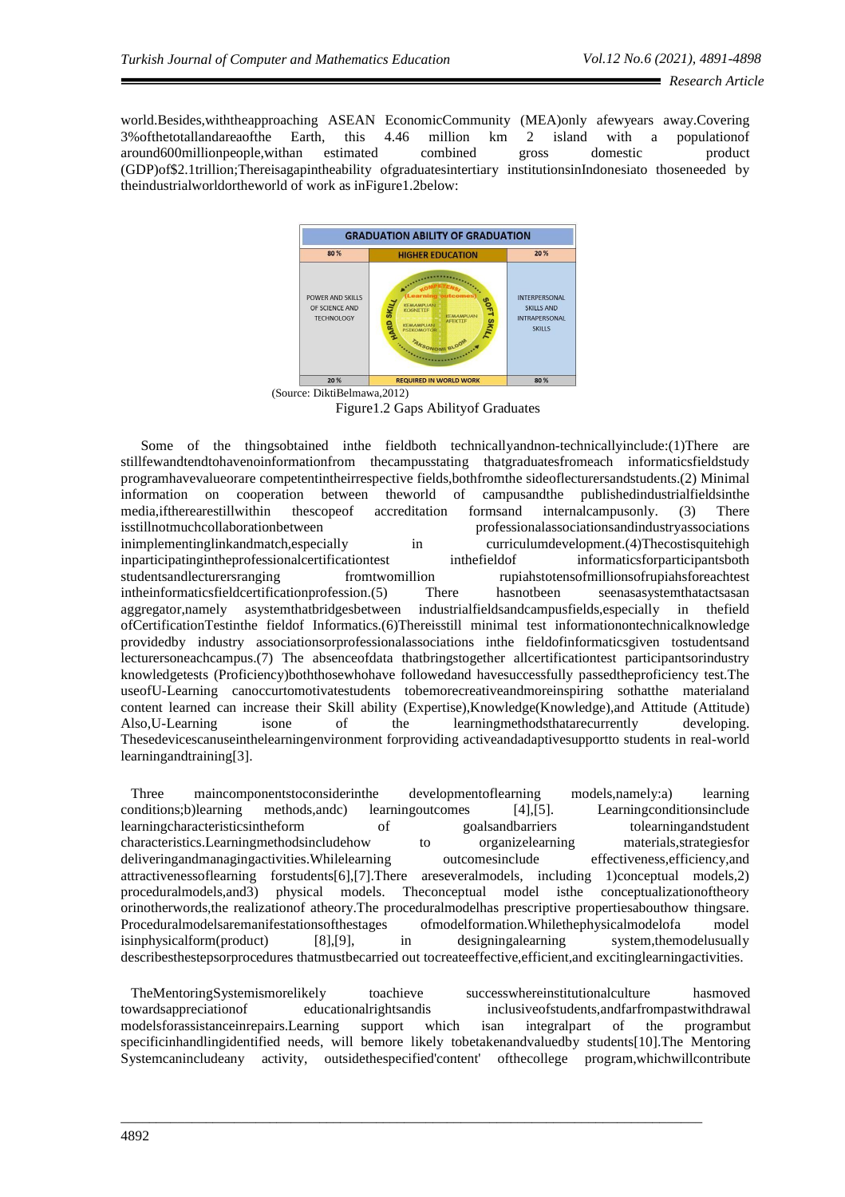world.Besides,withtheapproaching ASEAN EconomicCommunity (MEA)only afewyears away.Covering 3%ofthetotallandareaofthe Earth, this 4.46 million km 2 island with a populationof around600millionpeople,withan estimated combined gross domestic product (GDP)of\$2.1trillion;Thereisagapintheability ofgraduatesintertiary institutionsinIndonesiato thoseneeded by theindustrialworldortheworld of work as inFigure1.2below:



Figure1.2 Gaps Abilityof Graduates

Some of the thingsobtained inthe fieldboth technicallyandnon-technicallyinclude:(1)There are stillfewandtendtohavenoinformationfrom thecampusstating thatgraduatesfromeach informaticsfieldstudy programhavevalueorare competentintheirrespective fields,bothfromthe sideoflecturersandstudents.(2) Minimal information on cooperation between theworld of campusandthe publishedindustrialfieldsinthe media,iftherearestillwithin thescopeof accreditation formsand internalcampusonly. (3) There isstillnotmuchcollaborationbetween professionalassociationsandindustryassociations inimplementinglinkandmatch,especially in curriculumdevelopment.(4)The costisquite high inparticipatingintheprofessionalcertificationtest inthefieldof informaticsforparticipantsboth studentsandlecturersranging fromtwomillion rupiahstotensofmillionsofrupiahsforeachtest intheinformaticsfieldcertificationprofession.(5) There hasnotbeen seenasasystemthatactsasan aggregator,namely asystemthatbridgesbetween industrialfieldsandcampusfields,especially in thefield ofCertificationTestinthe fieldof Informatics.(6)Thereisstill minimal test informationontechnicalknowledge providedby industry associationsorprofessionalassociations inthe fieldofinformaticsgiven tostudentsand lecturersoneachcampus.(7) The absenceofdata thatbringstogether allcertificationtest participantsorindustry knowledgetests (Proficiency)boththosewhohave followedand havesuccessfully passedtheproficiency test.The useofU-Learning canoccurtomotivatestudents tobemorecreativeandmoreinspiring sothatthe materialand content learned can increase their Skill ability (Expertise),Knowledge(Knowledge),and Attitude (Attitude) Also,U-Learning isone of the learningmethodsthatarecurrently developing. Thesedevicescanuseinthelearningenvironment forproviding activeandadaptivesupportto students in real-world learningandtraining[3].

Three maincomponentstoconsiderinthe developmentoflearning models,namely:a) learning conditions;b)learning methods,andc) learningoutcomes [4],[5]. Learningconditionsinclude learningcharacteristicsintheform of goalsandbarriers tolearningandstudent characteristics.Learningmethodsincludehow to organizelearning materials,strategiesfor deliveringandmanagingactivities.Whilelearning outcomesinclude effectiveness,efficiency,and attractivenessoflearning forstudents[6],[7].There areseveralmodels, including 1)conceptual models,2) proceduralmodels,and3) physical models. Theconceptual model isthe conceptualizationoftheory orinotherwords,the realizationof atheory.The proceduralmodelhas prescriptive propertiesabouthow thingsare. Proceduralmodelsaremanifestationsofthestages ofmodelformation.Whilethephysicalmodelofa model isinphysicalform(product) [8],[9], in designingalearning system,themodelusually describesthestepsorprocedures thatmustbecarried out tocreateeffective,efficient,and excitinglearningactivities.

TheMentoringSystemismorelikely toachieve successwhereinstitutionalculture hasmoved towardsappreciationof educationalrightsandis inclusiveofstudents,andfarfrompastwithdrawal modelsforassistanceinrepairs.Learning support which isan integralpart of the programbut specificinhandlingidentified needs, will bemore likely tobetakenandvaluedby students[10].The Mentoring Systemcanincludeany activity, outsidethespecified'content' ofthecollege program,whichwillcontribute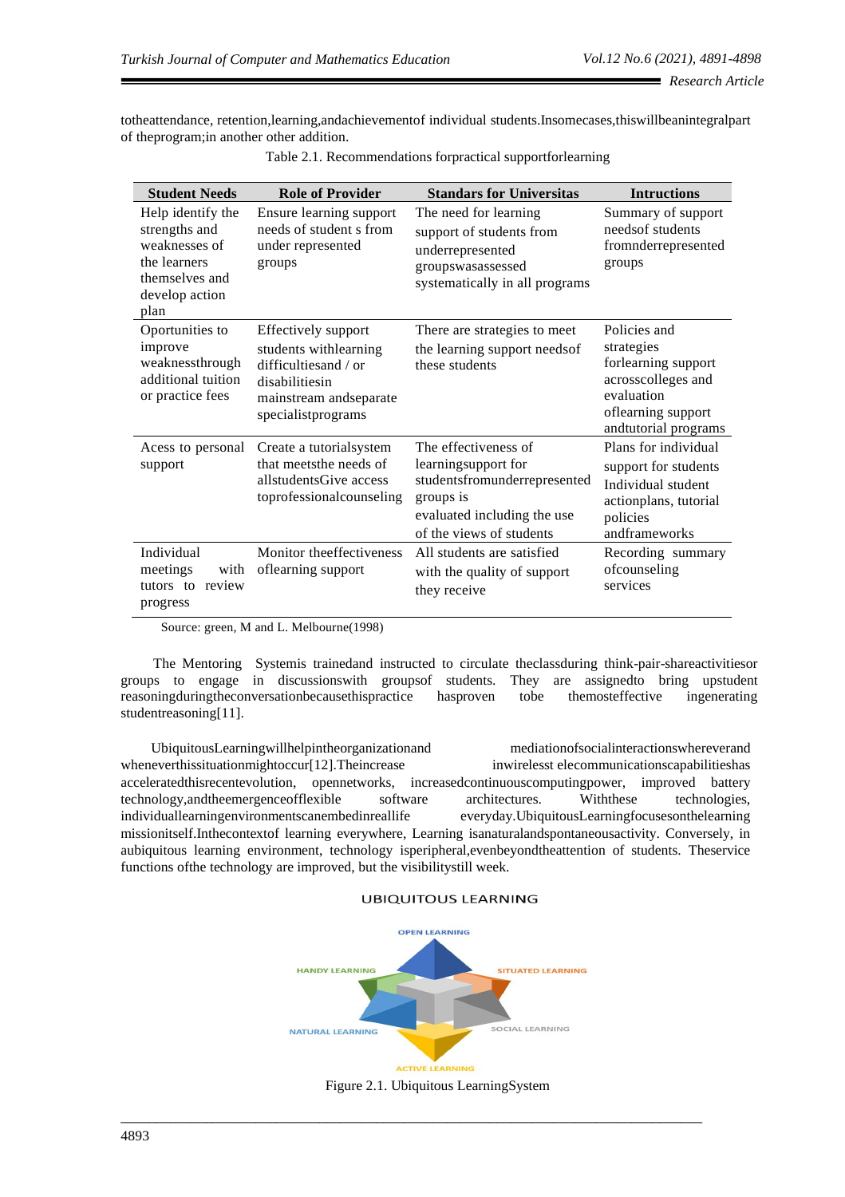totheattendance, retention,learning,andachievementof individual students.Insomecases,thiswillbeanintegralpart of theprogram;in another other addition.

| <b>Student Needs</b>                                                                                            | <b>Role of Provider</b>                                                                                                                 | <b>Standars for Universitas</b>                                                                                                                     | <b>Intructions</b>                                                                                                                  |
|-----------------------------------------------------------------------------------------------------------------|-----------------------------------------------------------------------------------------------------------------------------------------|-----------------------------------------------------------------------------------------------------------------------------------------------------|-------------------------------------------------------------------------------------------------------------------------------------|
| Help identify the<br>strengths and<br>weaknesses of<br>the learners<br>themselves and<br>develop action<br>plan | Ensure learning support<br>needs of student s from<br>under represented<br>groups                                                       | The need for learning<br>support of students from<br>underrepresented<br>groupswasassessed<br>systematically in all programs                        | Summary of support<br>needsof students<br>fromnderrepresented<br>groups                                                             |
| Oportunities to<br>improve<br>weaknessthrough<br>additional tuition<br>or practice fees                         | Effectively support<br>students withlearning<br>difficulties and / or<br>disabilitiesin<br>mainstream andseparate<br>specialistprograms | There are strategies to meet<br>the learning support needs of<br>these students                                                                     | Policies and<br>strategies<br>forlearning support<br>acrosscolleges and<br>evaluation<br>oflearning support<br>andtutorial programs |
| Acess to personal<br>support                                                                                    | Create a tutorialsystem<br>that meets the needs of<br>allstudents Give access<br>toprofessionalcounseling                               | The effectiveness of<br>learningsupport for<br>studentsfromunderrepresented<br>groups is<br>evaluated including the use<br>of the views of students | Plans for individual<br>support for students<br>Individual student<br>actionplans, tutorial<br>policies<br>andframeworks            |
| Individual<br>meetings<br>with<br>tutors to review<br>progress                                                  | Monitor theeffectiveness<br>oflearning support                                                                                          | All students are satisfied<br>with the quality of support<br>they receive                                                                           | Recording summary<br>ofcounseling<br>services                                                                                       |

|  | Table 2.1. Recommendations forpractical supportforlearning |  |  |  |
|--|------------------------------------------------------------|--|--|--|
|  |                                                            |  |  |  |
|  |                                                            |  |  |  |
|  |                                                            |  |  |  |

Source: green, M and L. Melbourne(1998)

The Mentoring Systemis trainedand instructed to circulate theclassduring think-pair-shareactivitiesor groups to engage in discussionswith groupsof students. They are assignedto bring upstudent reasoningduringtheconversationbecausethispractice hasproven tobe themosteffective ingenerating studentreasoning[11].

UbiquitousLearningwillhelpintheorganizationand mediationofsocialinteractionswhereverand wheneverthissituationmightoccur[12].Theincrease inwirelesst elecommunicationscapabilitieshas acceleratedthisrecentevolution, opennetworks, increasedcontinuouscomputingpower, improved battery technology,andtheemergenceofflexible software architectures. Withthese technologies, individuallearningenvironmentscanembedinreallife everyday.UbiquitousLearningfocusesonthelearning missionitself.Inthecontextof learning everywhere, Learning isanaturalandspontaneousactivity. Conversely, in aubiquitous learning environment, technology isperipheral,evenbeyondtheattention of students. Theservice functions ofthe technology are improved, but the visibilitystill week.

#### **UBIQUITOUS LEARNING**

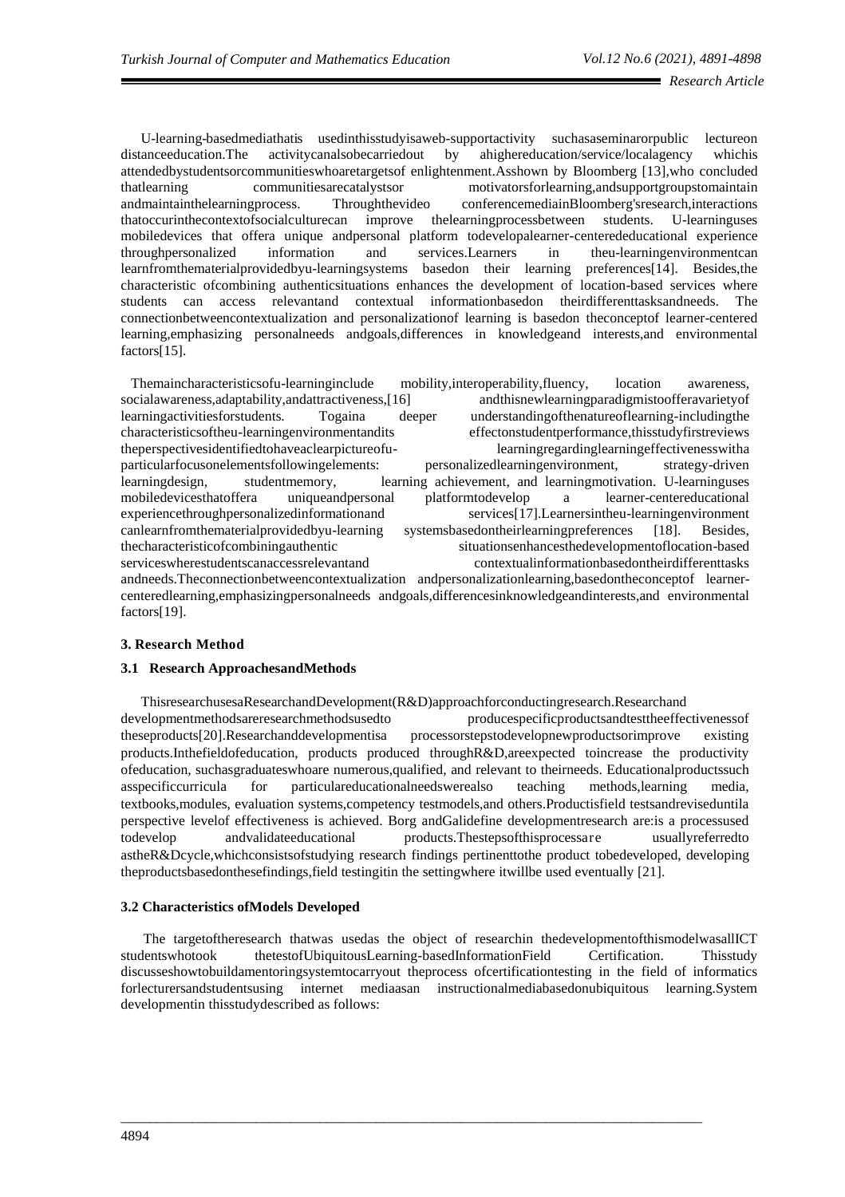U-learning-basedmediathatis usedinthisstudyisaweb-supportactivity suchasaseminarorpublic lectureon distanceeducation.The activitycanalsobecarriedout by ahighereducation/service/localagency whichis attendedbystudentsorcommunitieswhoaretargetsof enlightenment.Asshown by Bloomberg [13],who concluded thatlearning communitiesarecatalystsor motivatorsforlearning,andsupportgroupstomaintain andmaintainthelearningprocess. Throughthevideo conferencemediainBloomberg'sresearch,interactions thatoccurinthecontextofsocialculturecan improve thelearningprocessbetween students. U-learninguses mobiledevices that offera unique andpersonal platform todevelopalearner-centerededucational experience throughpersonalized information and services.Learners in theu-learningenvironmentcan learnfromthematerialprovidedbyu-learningsystems basedon their learning preferences[14]. Besides,the characteristic ofcombining authenticsituations enhances the development of location-based services where students can access relevantand contextual informationbasedon theirdifferenttasksandneeds. The connectionbetweencontextualization and personalizationof learning is basedon theconceptof learner-centered learning,emphasizing personalneeds andgoals,differences in knowledgeand interests,and environmental factors[15].

Themaincharacteristicsofu-learninginclude mobility,interoperability,fluency, location awareness, socialawareness,adaptability,andattractiveness,[16] andthisnewlearningparadigmistoofferavarietyof learningactivitiesforstudents. Togaina deeper understandingofthenatureoflearning-includingthe characteristicsoftheu-learningenvironmentandits effectonstudentperformance,thisstudyfirstreviews theperspectivesidentifiedtohaveaclearpictureofu- learningregardinglearningeffectivenesswitha particularfocusonelementsfollowingelements: personalizedlearningenvironment, strategy-driven learningdesign, studentmemory, learning achievement, and learningmotivation. U-learninguses mobiledevicesthatoffera uniqueandpersonal platformtodevelop a learner-centereducational experiencethroughpersonalizedinformationand services[17].Learnersintheu-learningenvironment canlearnfromthematerialprovidedbyu-learning systemsbasedontheirlearningpreferences [18]. Besides, thecharacteristicofcombiningauthentic situationsenhancesthedevelopmentoflocation-based serviceswherestudentscanaccessrelevantand contextualinformationbasedontheirdifferenttasks andneeds.Theconnectionbetweencontextualization andpersonalizationlearning,basedontheconceptof learnercenteredlearning,emphasizingpersonalneeds andgoals,differencesinknowledgeandinterests,and environmental factors[19].

# **3. Research Method**

### **3.1 Research ApproachesandMethods**

ThisresearchusesaResearchandDevelopment(R&D)approachforconductingresearch.Researchand developmentmethodsareresearchmethodsusedto producespecificproductsandtesttheeffectivenessof theseproducts[20].Researchanddevelopmentisa processorstepstodevelopnewproductsorimprove existing products.Inthefieldofeducation, products produced throughR&D,areexpected toincrease the productivity ofeducation, suchasgraduateswhoare numerous,qualified, and relevant to theirneeds. Educationalproductssuch asspecificcurricula for particulareducationalneedswerealso teaching methods,learning media, textbooks,modules, evaluation systems,competency testmodels,and others.Productisfield testsandreviseduntila perspective levelof effectiveness is achieved. Borg andGalidefine developmentresearch are:is a processused todevelop andvalidateeducational products.Thestepsofthisprocessare usuallyreferredto astheR&Dcycle,whichconsistsofstudying research findings pertinenttothe product tobedeveloped, developing theproductsbasedonthesefindings,field testingitin the settingwhere itwillbe used eventually [21].

### **3.2 Characteristics ofModels Developed**

The targetoftheresearch thatwas usedas the object of researchin thedevelopmentofthismodelwasallICT studentswhotook thetestofUbiquitousLearning-basedInformationField Certification. Thisstudy discusseshowtobuildamentoringsystemtocarryout theprocess ofcertificationtesting in the field of informatics forlecturersandstudentsusing internet mediaasan instructionalmediabasedonubiquitous learning.System developmentin thisstudydescribed as follows: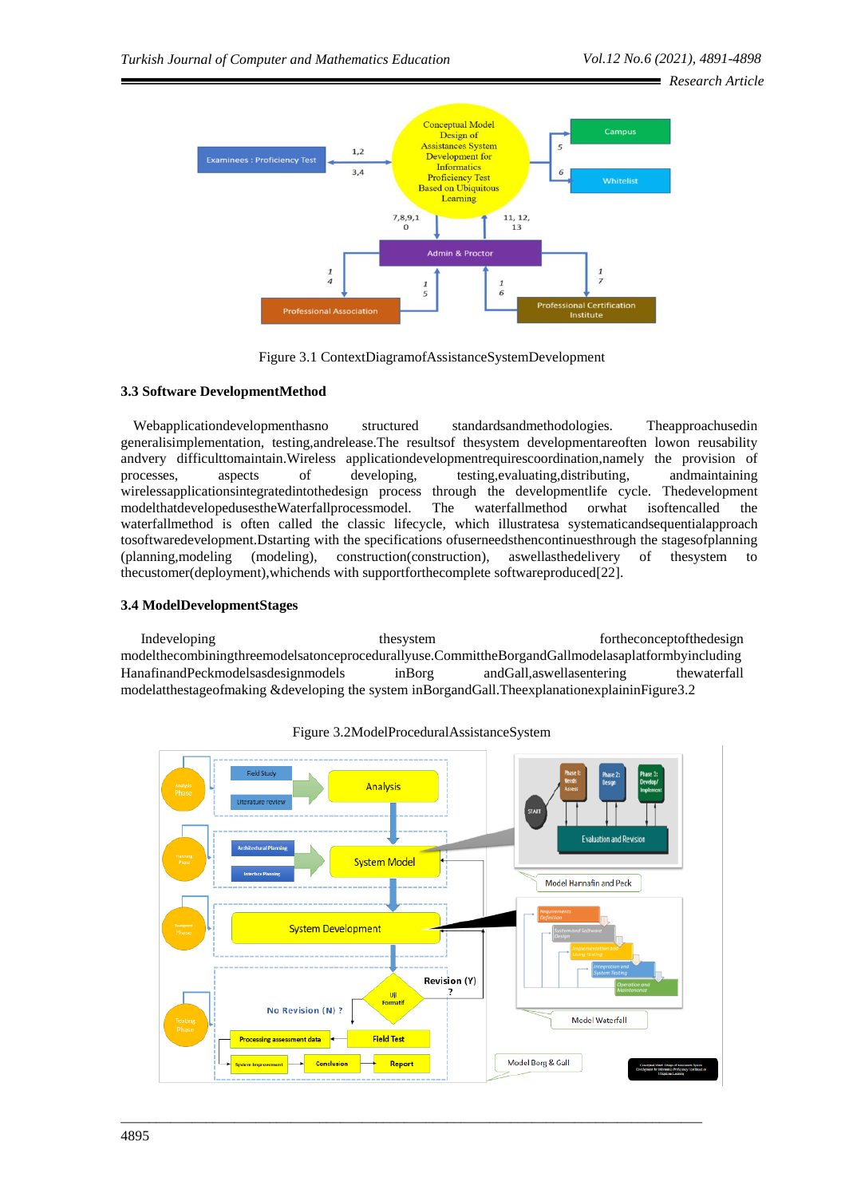*Research Article*



Figure 3.1 ContextDiagramofAssistanceSystemDevelopment

## **3.3 Software DevelopmentMethod**

Webapplicationdevelopmenthasno structured standardsandmethodologies. Theapproachusedin generalisimplementation, testing,andrelease.The resultsof thesystem developmentareoften lowon reusability andvery difficulttomaintain.Wireless applicationdevelopmentrequirescoordination,namely the provision of processes, aspects of developing, testing,evaluating,distributing, andmaintaining wirelessapplicationsintegratedintothedesign process through the developmentlife cycle. Thedevelopment modelthatdevelopedusestheWaterfallprocessmodel. The waterfallmethod orwhat isoftencalled the waterfallmethod is often called the classic lifecycle, which illustratesa systematicandsequentialapproach tosoftwaredevelopment.Dstarting with the specifications ofuserneedsthencontinuesthrough the stagesofplanning (planning,modeling (modeling), construction(construction), aswellasthedelivery of thesystem to thecustomer(deployment),whichends with supportforthecomplete softwareproduced[22].

## **3.4 ModelDevelopmentStages**

Indeveloping thesystem these these fortheconceptofthedesign these states of the states of the states of the states of the states of the states of the states of the states of the states of the states of the states of the st modelthecombiningthreemodelsatonceprocedurallyuse.CommittheBorgandGallmodelasaplatformbyincluding HanafinandPeckmodelsasdesignmodels inBorg andGall,aswellasentering thewaterfall modelatthestageofmaking &developing the system inBorgandGall.TheexplanationexplaininFigure3.2



\_\_\_\_\_\_\_\_\_\_\_\_\_\_\_\_\_\_\_\_\_\_\_\_\_\_\_\_\_\_\_\_\_\_\_\_\_\_\_\_\_\_\_\_\_\_\_\_\_\_\_\_\_\_\_\_\_\_\_\_\_\_\_\_\_\_\_\_\_\_\_\_\_\_\_\_\_\_\_\_\_\_

Figure 3.2ModelProceduralAssistanceSystem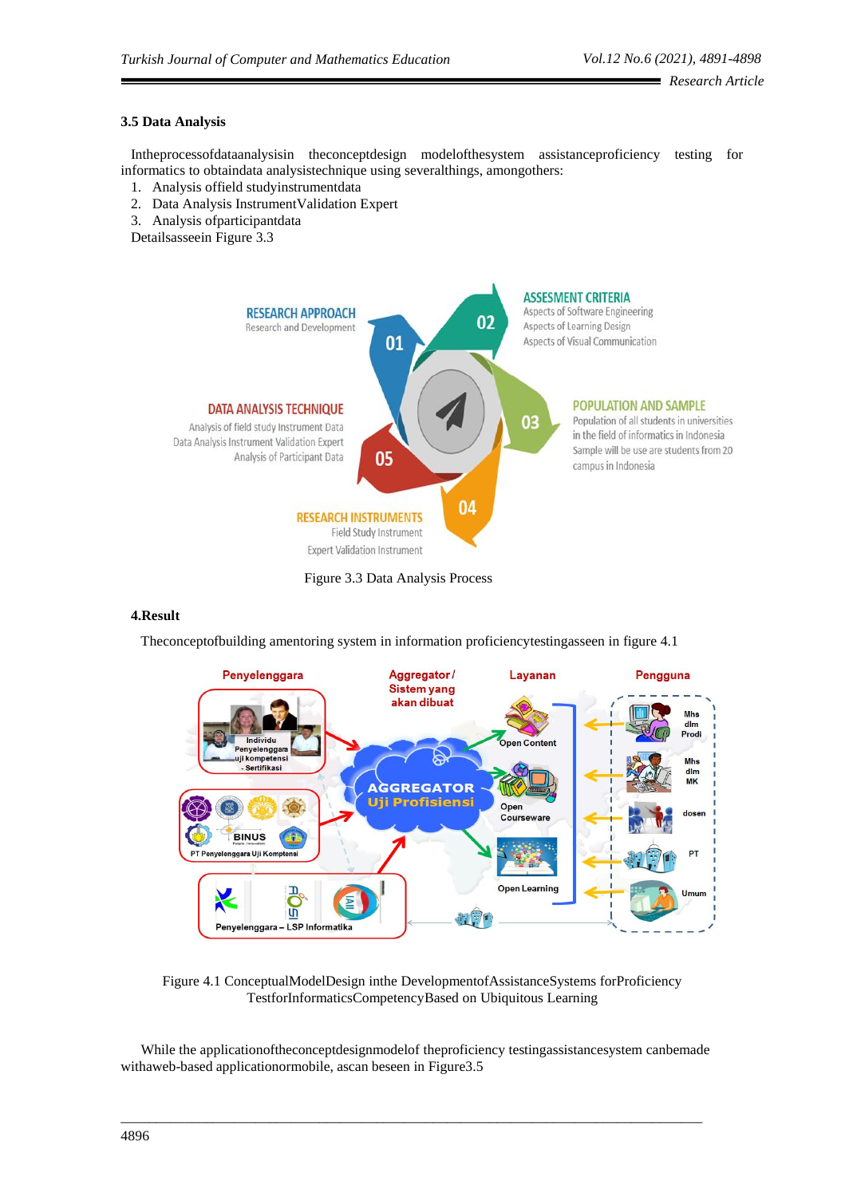# **3.5 Data Analysis**

Intheprocessofdataanalysisin theconceptdesign modelofthesystem assistanceproficiency testing for informatics to obtaindata analysistechnique using severalthings, amongothers:

- 1. Analysis offield studyinstrumentdata
- 2. Data Analysis InstrumentValidation Expert
- 3. Analysis ofparticipantdata
- Detailsasseein Figure 3.3





#### **4.Result**

Theconceptofbuilding amentoring system in information proficiencytestingasseen in figure 4.1



Figure 4.1 ConceptualModelDesign inthe DevelopmentofAssistanceSystems forProficiency TestforInformaticsCompetencyBased on Ubiquitous Learning

While the applicationoftheconceptdesignmodelof theproficiency testingassistancesystem canbemade withaweb-based applicationormobile, ascan beseen in Figure3.5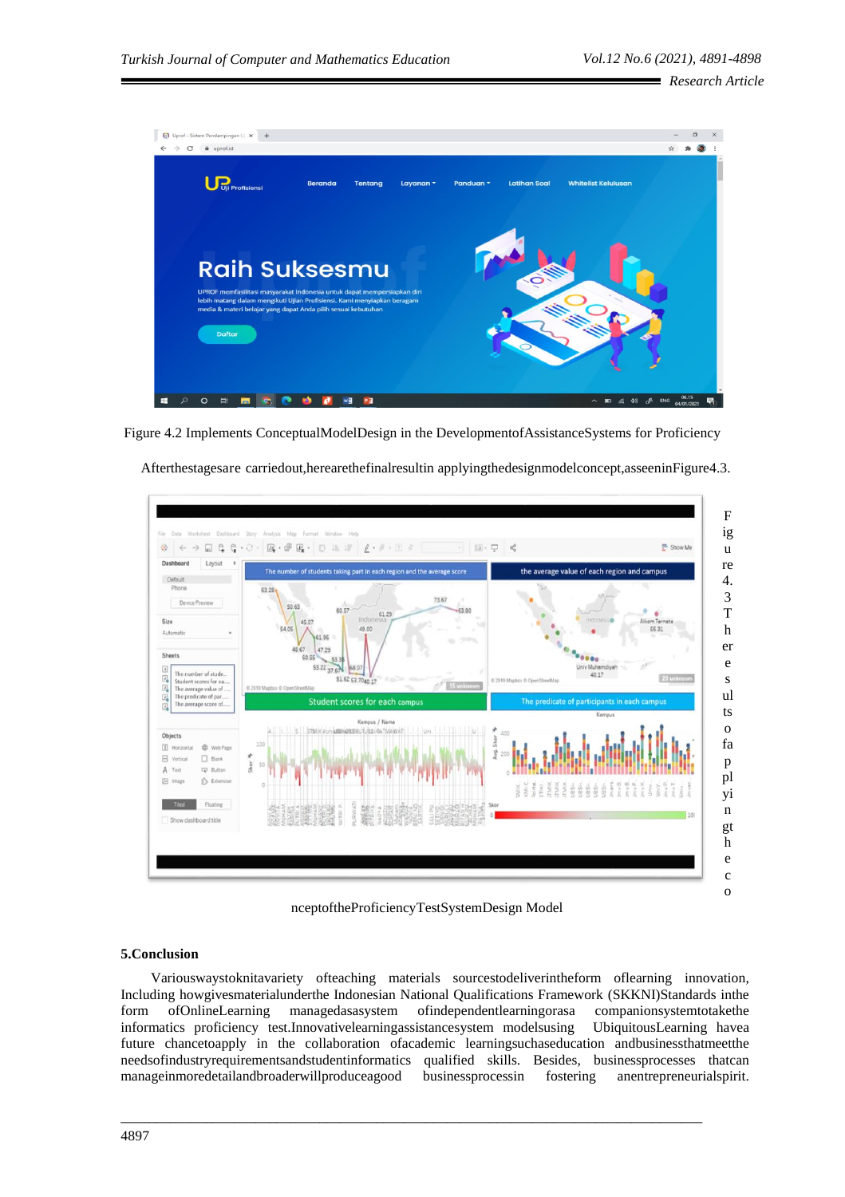

Figure 4.2 Implements ConceptualModelDesign in the DevelopmentofAssistanceSystems for Proficiency



Afterthestagesare carriedout,herearethefinalresultin applyingthedesignmodelconcept,asseeninFigure4.3.

nceptoftheProficiencyTestSystemDesign Model

# **5.Conclusion**

Variouswaystoknitavariety ofteaching materials sourcestodeliverintheform oflearning innovation, Including howgivesmaterialunderthe Indonesian National Qualifications Framework (SKKNI)Standards inthe form ofOnlineLearning managedasasystem ofindependentlearningorasa companionsystemtotakethe informatics proficiency test.Innovativelearningassistancesystem modelsusing UbiquitousLearning havea future chancetoapply in the collaboration ofacademic learningsuchaseducation andbusinessthatmeetthe needsofindustryrequirementsandstudentinformatics qualified skills. Besides, businessprocesses thatcan manageinmoredetailandbroaderwillproduceagood businessprocessin fostering anentrepreneurialspirit.